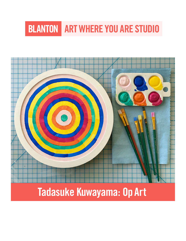# **BLANTON ART WHERE YOU ARE STUDIO**

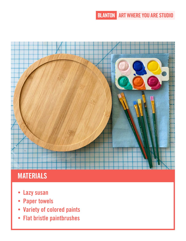**BLANTON ART WHERE YOU ARE STUDIO** 



# **MATERIALS**

- Lazy susan  $\bullet$
- **Paper towels**  $\bullet$
- **Variety of colored paints**  $\bullet$
- **Flat bristle paintbrushes**  $\bullet$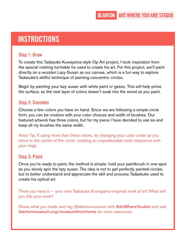# **INSTRUCTIONS**

#### **Step 1: Draw**

To create this Tadasuke Kuwayama-style Op Art project, I took inspiration from the special rotating turntable he used to create his art. For this project, we'll paint directly on a wooden Lazy-Susan as our canvas, which is a fun way to explore Tadasuke's skillful technique of painting concentric circles.

Begin by painting your lazy susan with white paint or gesso. This will help prime the surface, so the next layer of colors doesn't soak into the wood as you paint.

#### **Step 2: Consider**

Choose a few colors you have on hand. Since we are following a simple circle form, you can be creative with your color choices and width of brushes. Our featured artwork has three colors, but for my piece I have decided to use six and keep all my brushes the same width.

Artist Tip: If using more than three colors, try changing your color order as you move to the center of the circle, creating an unpredictable color sequence with your rings.

#### **Step 3: Paint**

Once you're ready to paint, the method is simple: hold your paintbrush in one spot as you slowly spin the lazy susan. The idea is not to get perfectly painted circles, but to better understand and appreciate the skill and process Tadaskuke used to create his optical art.

There you have it — your own Tadasuke Kuwayama-inspired work of art! What will you title your work?

Share what you made and tag @blantonmuseum with **#ArtWhereYouAre** and visit blantonmuseum.org/museumfromhome for more resources.